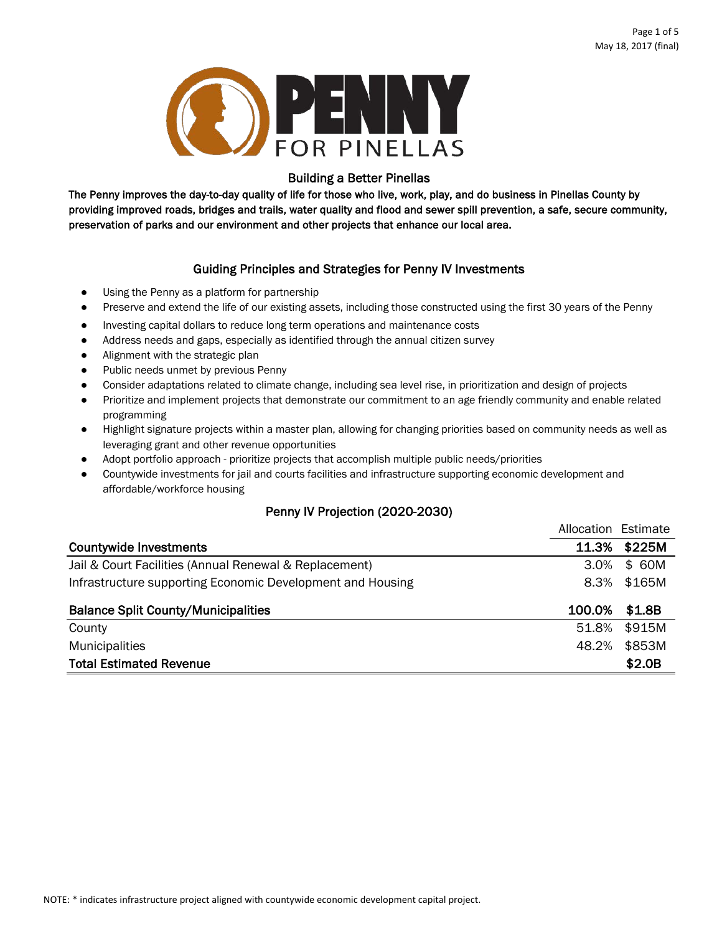

## Building a Better Pinellas

The Penny improves the day-to-day quality of life for those who live, work, play, and do business in Pinellas County by providing improved roads, bridges and trails, water quality and flood and sewer spill prevention, a safe, secure community, preservation of parks and our environment and other projects that enhance our local area.

## Guiding Principles and Strategies for Penny IV Investments

- **●** Using the Penny as a platform for partnership
- **●** Preserve and extend the life of our existing assets, including those constructed using the first 30 years of the Penny
- **●** Investing capital dollars to reduce long term operations and maintenance costs
- **●** Address needs and gaps, especially as identified through the annual citizen survey
- **●** Alignment with the strategic plan
- **●** Public needs unmet by previous Penny
- **●** Consider adaptations related to climate change, including sea level rise, in prioritization and design of projects
- **●** Prioritize and implement projects that demonstrate our commitment to an age friendly community and enable related programming
- **●** Highlight signature projects within a master plan, allowing for changing priorities based on community needs as well as leveraging grant and other revenue opportunities
- **●** Adopt portfolio approach - prioritize projects that accomplish multiple public needs/priorities
- **●** Countywide investments for jail and courts facilities and infrastructure supporting economic development and affordable/workforce housing

## Penny IV Projection (2020-2030)

|                                                            | Allocation Estimate |        |
|------------------------------------------------------------|---------------------|--------|
| <b>Countywide Investments</b>                              | 11.3%               | \$225M |
| Jail & Court Facilities (Annual Renewal & Replacement)     | 3.0%                | \$ 60M |
| Infrastructure supporting Economic Development and Housing | 8.3%                | \$165M |
|                                                            |                     |        |
| <b>Balance Split County/Municipalities</b>                 | 100.0%              | \$1.8B |
| County                                                     | 51.8%               | \$915M |
| <b>Municipalities</b>                                      | 48.2%               | \$853M |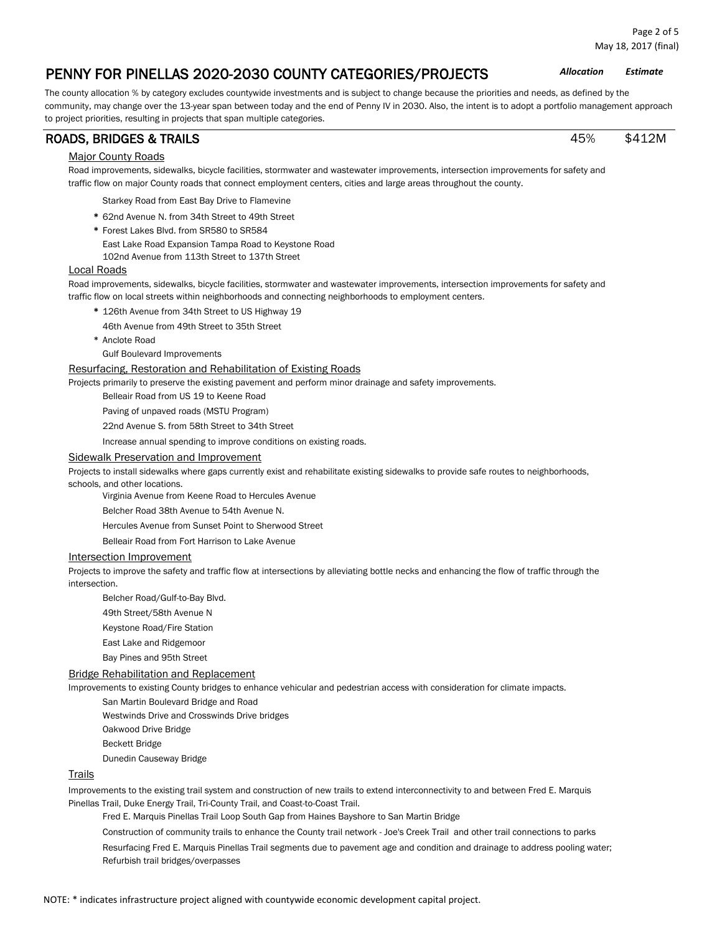The county allocation % by category excludes countywide investments and is subject to change because the priorities and needs, as defined by the community, may change over the 13-year span between today and the end of Penny IV in 2030. Also, the intent is to adopt a portfolio management approach to project priorities, resulting in projects that span multiple categories.

## ROADS, BRIDGES & TRAILS 45% \$412M

## **Major County Roads**

Road improvements, sidewalks, bicycle facilities, stormwater and wastewater improvements, intersection improvements for safety and traffic flow on major County roads that connect employment centers, cities and large areas throughout the county.

Starkey Road from East Bay Drive to Flamevine

- **\*** 62nd Avenue N. from 34th Street to 49th Street
- **\*** Forest Lakes Blvd. from SR580 to SR584
	- East Lake Road Expansion Tampa Road to Keystone Road
	- 102nd Avenue from 113th Street to 137th Street

### Local Roads

Road improvements, sidewalks, bicycle facilities, stormwater and wastewater improvements, intersection improvements for safety and traffic flow on local streets within neighborhoods and connecting neighborhoods to employment centers.

- **\*** 126th Avenue from 34th Street to US Highway 19
- 46th Avenue from 49th Street to 35th Street
- \* Anclote Road
	- Gulf Boulevard Improvements

### Resurfacing, Restoration and Rehabilitation of Existing Roads

Projects primarily to preserve the existing pavement and perform minor drainage and safety improvements.

Belleair Road from US 19 to Keene Road

Paving of unpaved roads (MSTU Program)

22nd Avenue S. from 58th Street to 34th Street

Increase annual spending to improve conditions on existing roads.

#### Sidewalk Preservation and Improvement

Projects to install sidewalks where gaps currently exist and rehabilitate existing sidewalks to provide safe routes to neighborhoods, schools, and other locations.

Virginia Avenue from Keene Road to Hercules Avenue

Belcher Road 38th Avenue to 54th Avenue N.

Hercules Avenue from Sunset Point to Sherwood Street

Belleair Road from Fort Harrison to Lake Avenue

#### Intersection Improvement

Projects to improve the safety and traffic flow at intersections by alleviating bottle necks and enhancing the flow of traffic through the intersection.

Belcher Road/Gulf-to-Bay Blvd.

- 49th Street/58th Avenue N
- Keystone Road/Fire Station
- East Lake and Ridgemoor
- Bay Pines and 95th Street

#### Bridge Rehabilitation and Replacement

Improvements to existing County bridges to enhance vehicular and pedestrian access with consideration for climate impacts.

San Martin Boulevard Bridge and Road

Westwinds Drive and Crosswinds Drive bridges

- Oakwood Drive Bridge
- Beckett Bridge

Dunedin Causeway Bridge

#### **Trails**

Improvements to the existing trail system and construction of new trails to extend interconnectivity to and between Fred E. Marquis Pinellas Trail, Duke Energy Trail, Tri-County Trail, and Coast-to-Coast Trail.

Fred E. Marquis Pinellas Trail Loop South Gap from Haines Bayshore to San Martin Bridge

Construction of community trails to enhance the County trail network - Joe's Creek Trail and other trail connections to parks Resurfacing Fred E. Marquis Pinellas Trail segments due to pavement age and condition and drainage to address pooling water; Refurbish trail bridges/overpasses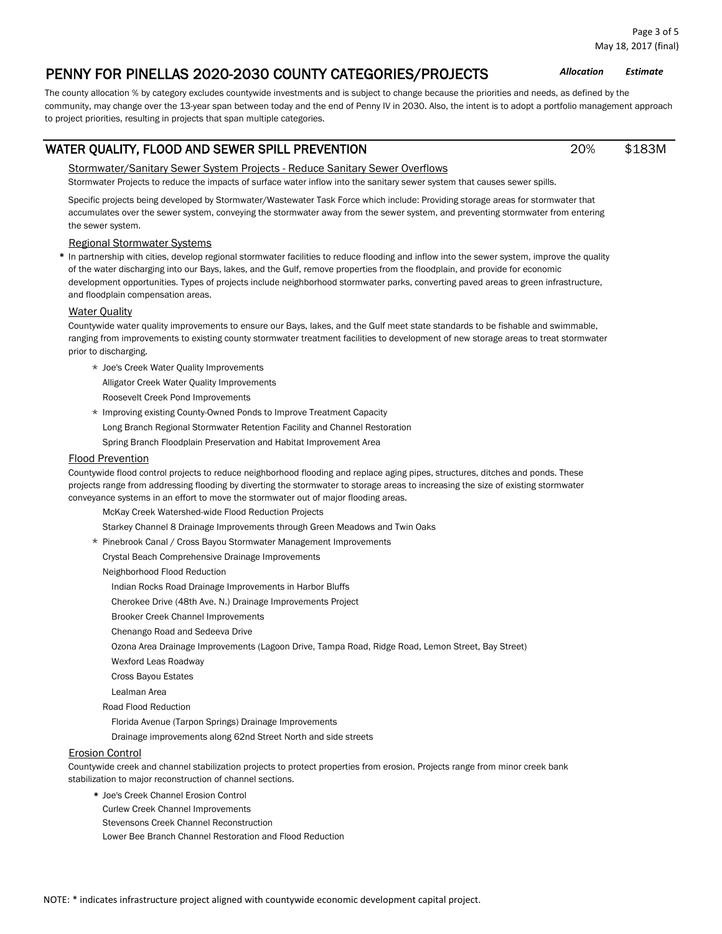The county allocation % by category excludes countywide investments and is subject to change because the priorities and needs, as defined by the community, may change over the 13-year span between today and the end of Penny IV in 2030. Also, the intent is to adopt a portfolio management approach to project priorities, resulting in projects that span multiple categories.

## WATER QUALITY, FLOOD AND SEWER SPILL PREVENTION  $20\%$  \$183M

## Stormwater/Sanitary Sewer System Projects - Reduce Sanitary Sewer Overflows

Stormwater Projects to reduce the impacts of surface water inflow into the sanitary sewer system that causes sewer spills.

Specific projects being developed by Stormwater/Wastewater Task Force which include: Providing storage areas for stormwater that accumulates over the sewer system, conveying the stormwater away from the sewer system, and preventing stormwater from entering the sewer system.

## Regional Stormwater Systems

**\*** In partnership with cities, develop regional stormwater facilities to reduce flooding and inflow into the sewer system, improve the quality of the water discharging into our Bays, lakes, and the Gulf, remove properties from the floodplain, and provide for economic development opportunities. Types of projects include neighborhood stormwater parks, converting paved areas to green infrastructure, and floodplain compensation areas.

## **Water Quality**

Countywide water quality improvements to ensure our Bays, lakes, and the Gulf meet state standards to be fishable and swimmable, ranging from improvements to existing county stormwater treatment facilities to development of new storage areas to treat stormwater prior to discharging.

\* Joe's Creek Water Quality Improvements

Alligator Creek Water Quality Improvements

Roosevelt Creek Pond Improvements

\* Improving existing County-Owned Ponds to Improve Treatment Capacity

Long Branch Regional Stormwater Retention Facility and Channel Restoration

Spring Branch Floodplain Preservation and Habitat Improvement Area

## Flood Prevention

Countywide flood control projects to reduce neighborhood flooding and replace aging pipes, structures, ditches and ponds. These projects range from addressing flooding by diverting the stormwater to storage areas to increasing the size of existing stormwater conveyance systems in an effort to move the stormwater out of major flooding areas.

McKay Creek Watershed-wide Flood Reduction Projects

Starkey Channel 8 Drainage Improvements through Green Meadows and Twin Oaks

- \* Pinebrook Canal / Cross Bayou Stormwater Management Improvements
- Crystal Beach Comprehensive Drainage Improvements

Neighborhood Flood Reduction

Indian Rocks Road Drainage Improvements in Harbor Bluffs

Cherokee Drive (48th Ave. N.) Drainage Improvements Project

Brooker Creek Channel Improvements

Chenango Road and Sedeeva Drive

Ozona Area Drainage Improvements (Lagoon Drive, Tampa Road, Ridge Road, Lemon Street, Bay Street)

Wexford Leas Roadway

Cross Bayou Estates

Lealman Area

Road Flood Reduction

Florida Avenue (Tarpon Springs) Drainage Improvements

Drainage improvements along 62nd Street North and side streets

## Erosion Control

Countywide creek and channel stabilization projects to protect properties from erosion. Projects range from minor creek bank stabilization to major reconstruction of channel sections.

- **\*** Joe's Creek Channel Erosion Control
- Curlew Creek Channel Improvements
- Stevensons Creek Channel Reconstruction

Lower Bee Branch Channel Restoration and Flood Reduction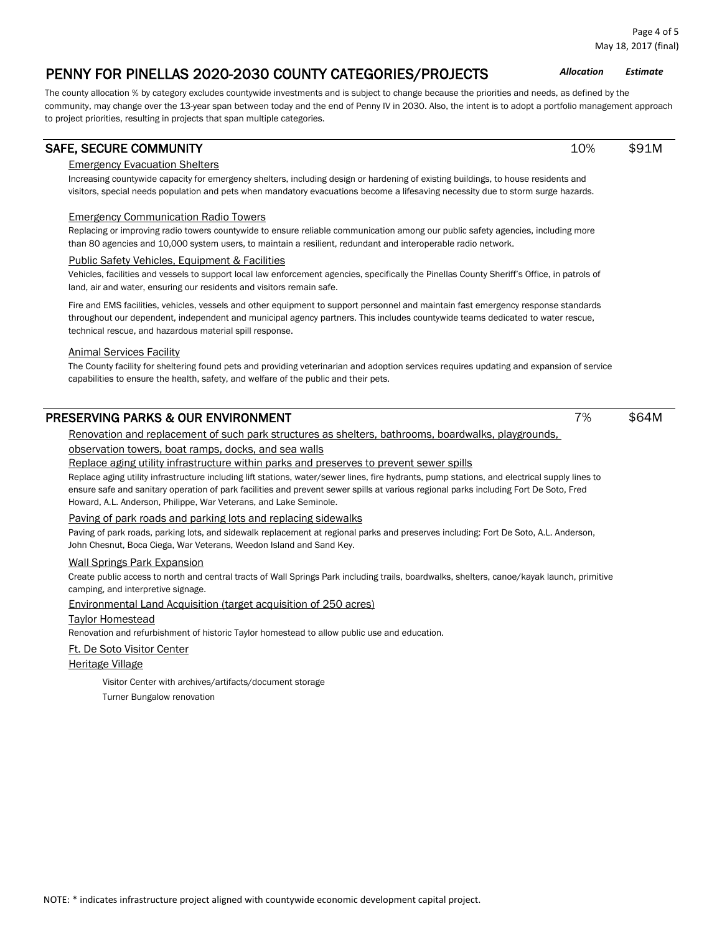The county allocation % by category excludes countywide investments and is subject to change because the priorities and needs, as defined by the community, may change over the 13-year span between today and the end of Penny IV in 2030. Also, the intent is to adopt a portfolio management approach to project priorities, resulting in projects that span multiple categories.

## SAFE, SECURE COMMUNITY And the state of the state of the state of the state of the state of the state of the state of the state of the state of the state of the state of the state of the state of the state of the state of

## Emergency Evacuation Shelters

Increasing countywide capacity for emergency shelters, including design or hardening of existing buildings, to house residents and visitors, special needs population and pets when mandatory evacuations become a lifesaving necessity due to storm surge hazards.

## Emergency Communication Radio Towers

Replacing or improving radio towers countywide to ensure reliable communication among our public safety agencies, including more than 80 agencies and 10,000 system users, to maintain a resilient, redundant and interoperable radio network.

## Public Safety Vehicles, Equipment & Facilities

Vehicles, facilities and vessels to support local law enforcement agencies, specifically the Pinellas County Sheriff's Office, in patrols of land, air and water, ensuring our residents and visitors remain safe.

Fire and EMS facilities, vehicles, vessels and other equipment to support personnel and maintain fast emergency response standards throughout our dependent, independent and municipal agency partners. This includes countywide teams dedicated to water rescue, technical rescue, and hazardous material spill response.

## Animal Services Facility

The County facility for sheltering found pets and providing veterinarian and adoption services requires updating and expansion of service capabilities to ensure the health, safety, and welfare of the public and their pets.

## PRESERVING PARKS & OUR ENVIRONMENT 7% \$64M

Renovation and replacement of such park structures as shelters, bathrooms, boardwalks, playgrounds,

## observation towers, boat ramps, docks, and sea walls

Replace aging utility infrastructure within parks and preserves to prevent sewer spills

Replace aging utility infrastructure including lift stations, water/sewer lines, fire hydrants, pump stations, and electrical supply lines to ensure safe and sanitary operation of park facilities and prevent sewer spills at various regional parks including Fort De Soto, Fred Howard, A.L. Anderson, Philippe, War Veterans, and Lake Seminole.

## Paving of park roads and parking lots and replacing sidewalks

Paving of park roads, parking lots, and sidewalk replacement at regional parks and preserves including: Fort De Soto, A.L. Anderson, John Chesnut, Boca Ciega, War Veterans, Weedon Island and Sand Key.

## Wall Springs Park Expansion

Create public access to north and central tracts of Wall Springs Park including trails, boardwalks, shelters, canoe/kayak launch, primitive camping, and interpretive signage.

## Environmental Land Acquisition (target acquisition of 250 acres)

## Taylor Homestead

Renovation and refurbishment of historic Taylor homestead to allow public use and education.

## Ft. De Soto Visitor Center

Heritage Village

Visitor Center with archives/artifacts/document storage

Turner Bungalow renovation

Page 4 of 5